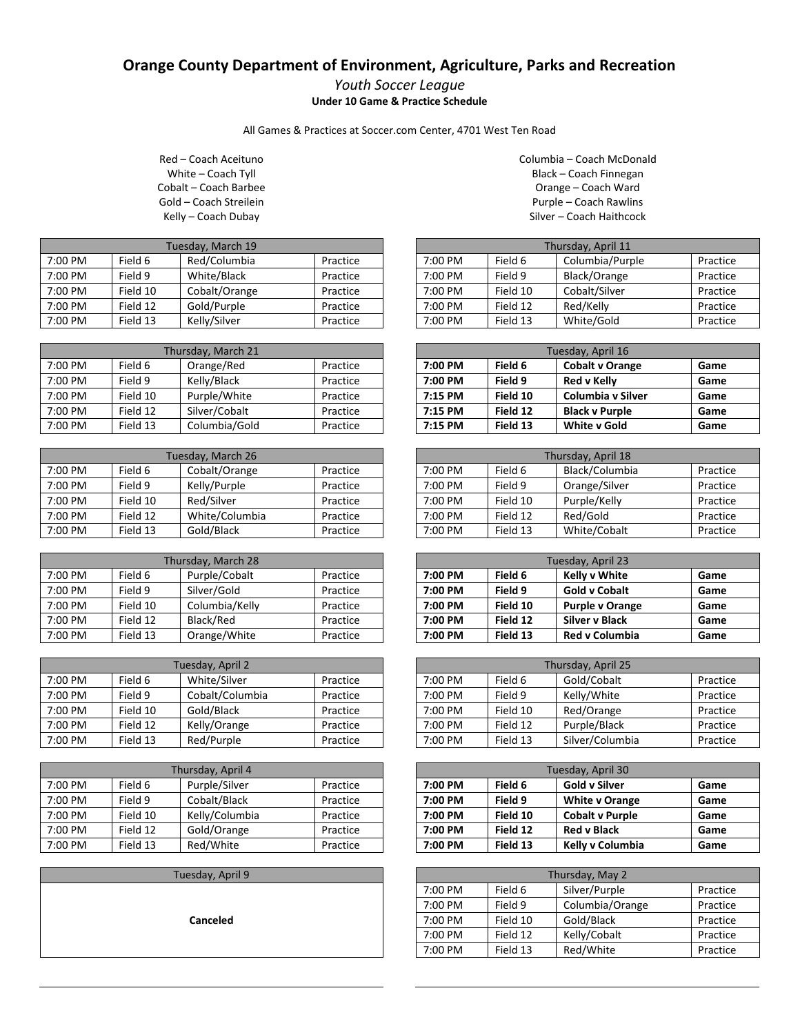## **Orange County Department of Environment, Agriculture, Parks and Recreation**

## *Youth Soccer League* **Under 10 Game & Practice Schedule**

All Games & Practices at Soccer.com Center, 4701 West Ten Road

Red – Coach Aceituno White – Coach Tyll Cobalt – Coach Barbee Gold – Coach Streilein Kelly – Coach Dubay

| Tuesday, March 19 |          |               |          |
|-------------------|----------|---------------|----------|
| 7:00 PM           | Field 6  | Red/Columbia  | Practice |
| 7:00 PM           | Field 9  | White/Black   | Practice |
| 7:00 PM           | Field 10 | Cobalt/Orange | Practice |
| 7:00 PM           | Field 12 | Gold/Purple   | Practice |
| 7:00 PM           | Field 13 | Kelly/Silver  | Practice |

| Thursday, March 21 |          |               |          |
|--------------------|----------|---------------|----------|
| 7:00 PM            | Field 6  | Orange/Red    | Practice |
| 7:00 PM            | Field 9  | Kelly/Black   | Practice |
| 7:00 PM            | Field 10 | Purple/White  | Practice |
| 7:00 PM            | Field 12 | Silver/Cobalt | Practice |
| 7:00 PM            | Field 13 | Columbia/Gold | Practice |

| Tuesday, March 26 |          |                |          |
|-------------------|----------|----------------|----------|
| 7:00 PM           | Field 6  | Cobalt/Orange  | Practice |
| 7:00 PM           | Field 9  | Kelly/Purple   | Practice |
| 7:00 PM           | Field 10 | Red/Silver     | Practice |
| 7:00 PM           | Field 12 | White/Columbia | Practice |
| 7:00 PM           | Field 13 | Gold/Black     | Practice |

| Thursday, March 28 |          |                |          |
|--------------------|----------|----------------|----------|
| 7:00 PM            | Field 6  | Purple/Cobalt  | Practice |
| 7:00 PM            | Field 9  | Silver/Gold    | Practice |
| 7:00 PM            | Field 10 | Columbia/Kelly | Practice |
| 7:00 PM            | Field 12 | Black/Red      | Practice |
| 7:00 PM            | Field 13 | Orange/White   | Practice |

| Tuesday, April 2 |          |                 |          |
|------------------|----------|-----------------|----------|
| 7:00 PM          | Field 6  | White/Silver    | Practice |
| 7:00 PM          | Field 9  | Cobalt/Columbia | Practice |
| 7:00 PM          | Field 10 | Gold/Black      | Practice |
| 7:00 PM          | Field 12 | Kelly/Orange    | Practice |
| 7:00 PM          | Field 13 | Red/Purple      | Practice |

| Thursday, April 4 |          |                |          |
|-------------------|----------|----------------|----------|
| 7:00 PM           | Field 6  | Purple/Silver  | Practice |
| 7:00 PM           | Field 9  | Cobalt/Black   | Practice |
| 7:00 PM           | Field 10 | Kelly/Columbia | Practice |
| 7:00 PM           | Field 12 | Gold/Orange    | Practice |
| 7:00 PM           | Field 13 | Red/White      | Practice |

Tuesday, April 9

**Canceled**

Columbia – Coach McDonald Black – Coach Finnegan Orange – Coach Ward Purple – Coach Rawlins Silver – Coach Haithcock

| Thursday, April 11 |          |                 |          |
|--------------------|----------|-----------------|----------|
| 7:00 PM            | Field 6  | Columbia/Purple | Practice |
| 7:00 PM            | Field 9  | Black/Orange    | Practice |
| $7:00 \text{ PM}$  | Field 10 | Cobalt/Silver   | Practice |
| 7:00 PM            | Field 12 | Red/Kelly       | Practice |
| 7:00 PM            | Field 13 | White/Gold      | Practice |

| Tuesday, April 16 |          |                        |      |
|-------------------|----------|------------------------|------|
| 7:00 PM           | Field 6  | <b>Cobalt v Orange</b> | Game |
| 7:00 PM           | Field 9  | <b>Red v Kelly</b>     | Game |
| 7:15 PM           | Field 10 | Columbia y Silver      | Game |
| 7:15 PM           | Field 12 | <b>Black v Purple</b>  | Game |
| 7:15 PM           | Field 13 | <b>White v Gold</b>    | Game |

| Thursday, April 18 |          |                |          |
|--------------------|----------|----------------|----------|
| 7:00 PM            | Field 6  | Black/Columbia | Practice |
| 7:00 PM            | Field 9  | Orange/Silver  | Practice |
| 7:00 PM            | Field 10 | Purple/Kelly   | Practice |
| 7:00 PM            | Field 12 | Red/Gold       | Practice |
| 7:00 PM            | Field 13 | White/Cobalt   | Practice |

| Tuesday, April 23 |          |                        |      |
|-------------------|----------|------------------------|------|
| 7:00 PM           | Field 6  | <b>Kelly v White</b>   | Game |
| 7:00 PM           | Field 9  | <b>Gold v Cobalt</b>   | Game |
| 7:00 PM           | Field 10 | <b>Purple v Orange</b> | Game |
| 7:00 PM           | Field 12 | Silver v Black         | Game |
| 7:00 PM           | Field 13 | <b>Red v Columbia</b>  | Game |

| Thursday, April 25 |          |                 |          |
|--------------------|----------|-----------------|----------|
| 7:00 PM            | Field 6  | Gold/Cobalt     | Practice |
| 7:00 PM            | Field 9  | Kelly/White     | Practice |
| 7:00 PM            | Field 10 | Red/Orange      | Practice |
| 7:00 PM            | Field 12 | Purple/Black    | Practice |
| 7:00 PM            | Field 13 | Silver/Columbia | Practice |

| Tuesday, April 30 |          |                        |      |
|-------------------|----------|------------------------|------|
| 7:00 PM           | Field 6  | <b>Gold v Silver</b>   | Game |
| 7:00 PM           | Field 9  | <b>White v Orange</b>  | Game |
| 7:00 PM           | Field 10 | <b>Cobalt v Purple</b> | Game |
| 7:00 PM           | Field 12 | <b>Red v Black</b>     | Game |
| 7:00 PM           | Field 13 | Kelly v Columbia       | Game |

| Thursday, May 2 |          |                 |          |
|-----------------|----------|-----------------|----------|
| 7:00 PM         | Field 6  | Silver/Purple   | Practice |
| 7:00 PM         | Field 9  | Columbia/Orange | Practice |
| 7:00 PM         | Field 10 | Gold/Black      | Practice |
| 7:00 PM         | Field 12 | Kelly/Cobalt    | Practice |
| 7:00 PM         | Field 13 | Red/White       | Practice |